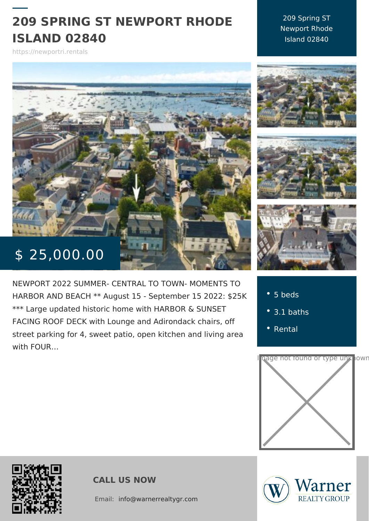# 209 SPRING ST NEWPORT RH ISLAND 02840

209 Spring ST Newport Rhode Island 02840

https://newportri.rentals

# $$ 25,000.$

NEWPORT 2022 SUMMER- CENTRAL TO TOWN HARBOR AND BEACH \*\* August 15 - Septembe \*\*\* Large updated historic home with HARBOR FACING ROOF DECK with Lounge and Adironda street parking for 4, sweet patio, open kitcher with FOUR &

5 beds 3.1 baths [Rent](https://newportri.rentals/es_category/rental/)al



CALL US NOW

Email:info@warnerrealtygr.com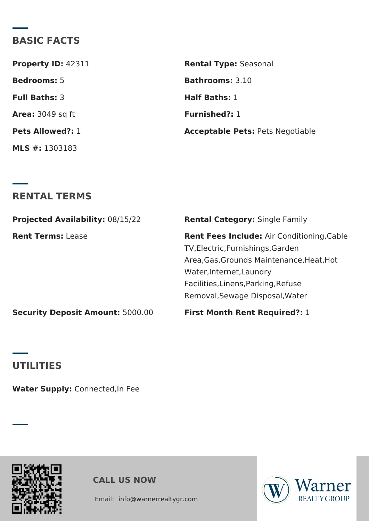# **BASIC FACTS**

| <b>Property ID: 42311</b> | <b>Rental Type: Seasonal</b>            |
|---------------------------|-----------------------------------------|
| <b>Bedrooms:</b> 5        | <b>Bathrooms: 3.10</b>                  |
| <b>Full Baths: 3</b>      | <b>Half Baths: 1</b>                    |
| <b>Area:</b> 3049 sq ft   | <b>Furnished?: 1</b>                    |
| <b>Pets Allowed?: 1</b>   | <b>Acceptable Pets: Pets Negotiable</b> |
| <b>MLS</b> #: 1303183     |                                         |

#### **RENTAL TERMS**

| <b>Projected Availability: 08/15/22</b> | <b>Rental Category: Single Family</b>                                                                                                           |
|-----------------------------------------|-------------------------------------------------------------------------------------------------------------------------------------------------|
| <b>Rent Terms: Lease</b>                | Rent Fees Include: Air Conditioning, Cable<br>TV, Electric, Furnishings, Garden                                                                 |
|                                         | Area, Gas, Grounds Maintenance, Heat, Hot<br>Water, Internet, Laundry<br>Facilities, Linens, Parking, Refuse<br>Removal, Sewage Disposal, Water |
| <b>Security Deposit Amount: 5000.00</b> | <b>First Month Rent Required?: 1</b>                                                                                                            |

### **UTILITIES**

**Water Supply:** Connected,In Fee





Email: info@warnerrealtygr.com